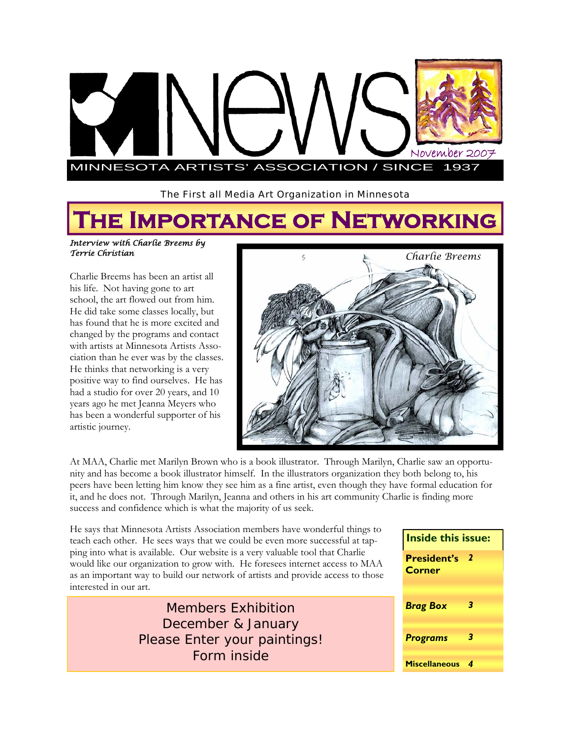

The First all Media Art Organization in Minnesota

# **The Importance of Networking**

#### *Interview with Charlie Breems by Terrie Christian*

Charlie Breems has been an artist all his life. Not having gone to art school, the art flowed out from him. He did take some classes locally, but has found that he is more excited and changed by the programs and contact with artists at Minnesota Artists Association than he ever was by the classes. He thinks that networking is a very positive way to find ourselves. He has had a studio for over 20 years, and 10 years ago he met Jeanna Meyers who has been a wonderful supporter of his artistic journey.



At MAA, Charlie met Marilyn Brown who is a book illustrator. Through Marilyn, Charlie saw an opportunity and has become a book illustrator himself. In the illustrators organization they both belong to, his peers have been letting him know they see him as a fine artist, even though they have formal education for it, and he does not. Through Marilyn, Jeanna and others in his art community Charlie is finding more success and confidence which is what the majority of us seek.

He says that Minnesota Artists Association members have wonderful things to teach each other. He sees ways that we could be even more successful at tapping into what is available. Our website is a very valuable tool that Charlie would like our organization to grow with. He foresees internet access to MAA as an important way to build our network of artists and provide access to those interested in our art.

> Members Exhibition December & January Please Enter your paintings! Form inside

| Inside this issue:                  |   |
|-------------------------------------|---|
| <b>President's</b><br><b>Corner</b> | 2 |
| <b>Brag Box</b>                     | 3 |
| <b>Programs</b>                     | 3 |
| <b>Miscellaneous</b>                |   |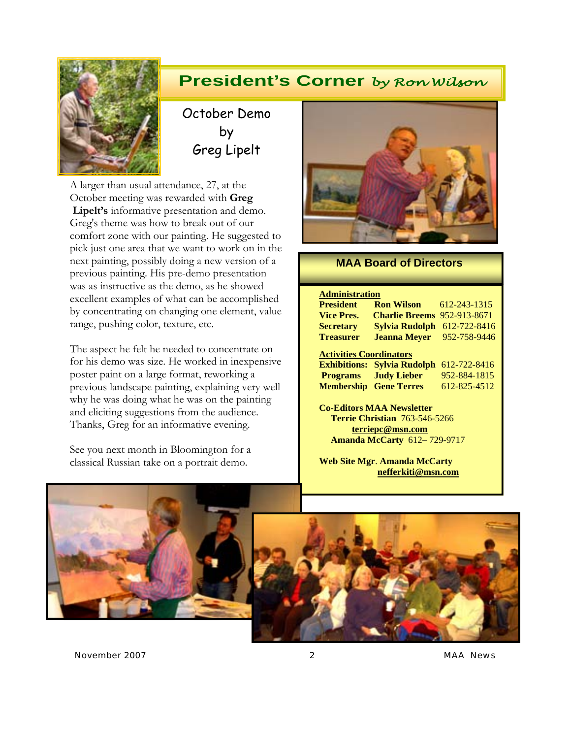

## **President's Corner** *by Ron Wilson*

October Demo by Greg Lipelt

A larger than usual attendance, 27, at the October meeting was rewarded with **Greg Lipelt's** informative presentation and demo. Greg's theme was how to break out of our comfort zone with our painting. He suggested to pick just one area that we want to work on in the next painting, possibly doing a new version of a previous painting. His pre-demo presentation was as instructive as the demo, as he showed excellent examples of what can be accomplished by concentrating on changing one element, value range, pushing color, texture, etc.

The aspect he felt he needed to concentrate on for his demo was size. He worked in inexpensive poster paint on a large format, reworking a previous landscape painting, explaining very well why he was doing what he was on the painting and eliciting suggestions from the audience. Thanks, Greg for an informative evening.

See you next month in Bloomington for a classical Russian take on a portrait demo.



#### **MAA Board of Directors**

#### **Administration**

| <b>President</b>               | <b>Ron Wilson</b>                  | 612-243-1315 |  |
|--------------------------------|------------------------------------|--------------|--|
| <b>Vice Pres.</b>              | <b>Charlie Breems</b>              | 952-913-8671 |  |
| <b>Secretary</b>               | Sylvia Rudolph                     | 612-722-8416 |  |
| <b>Treasurer</b>               | <b>Jeanna Meyer</b>                | 952-758-9446 |  |
| <b>Activities Coordinators</b> |                                    |              |  |
|                                |                                    |              |  |
|                                | <b>Exhibitions: Sylvia Rudolph</b> | 612-722-8416 |  |
|                                | <b>Programs</b> Judy Lieber        | 952-884-1815 |  |
| <b>Membership</b>              | <b>Gene Terres</b>                 | 612-825-4512 |  |

**Co-Editors MAA Newsletter Terrie Christian** 763-546-5266 **terriepc@msn.com Amanda McCarty** 612– 729-9717

**Web Site Mgr**. **Amanda McCarty nefferkiti@msn.com** 



*November 2007 2 MAA News*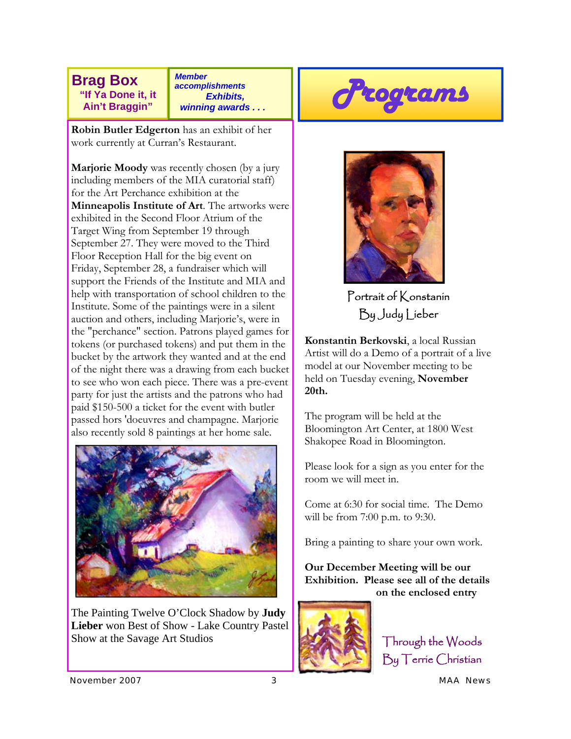**Brag Box "If Ya Done it, it Ain't Braggin"** 

*Member accomplishments Exhibits, winning awards . . .* 

**Robin Butler Edgerton** has an exhibit of her work currently at Curran's Restaurant.

**Marjorie Moody** was recently chosen (by a jury including members of the MIA curatorial staff) for the Art Perchance exhibition at the **Minneapolis Institute of Art**. The artworks were exhibited in the Second Floor Atrium of the Target Wing from September 19 through September 27. They were moved to the Third Floor Reception Hall for the big event on Friday, September 28, a fundraiser which will support the Friends of the Institute and MIA and help with transportation of school children to the Institute. Some of the paintings were in a silent auction and others, including Marjorie's, were in the "perchance" section. Patrons played games for tokens (or purchased tokens) and put them in the bucket by the artwork they wanted and at the end of the night there was a drawing from each bucket to see who won each piece. There was a pre-event party for just the artists and the patrons who had paid \$150-500 a ticket for the event with butler passed hors 'doeuvres and champagne. Marjorie also recently sold 8 paintings at her home sale.



The Painting Twelve O'Clock Shadow by **Judy Lieber** won Best of Show - Lake Country Pastel Show at the Savage Art Studios





Portrait of Konstanin By Judy Lieber

**Konstantin Berkovski**, a local Russian Artist will do a Demo of a portrait of a live model at our November meeting to be held on Tuesday evening, **November 20th.** 

The program will be held at the Bloomington Art Center, at 1800 West Shakopee Road in Bloomington.

Please look for a sign as you enter for the room we will meet in.

Come at 6:30 for social time. The Demo will be from 7:00 p.m. to 9:30.

Bring a painting to share your own work.

**Our December Meeting will be our Exhibition. Please see all of the details on the enclosed entry** 



Through the Woods By Terrie Christian

*November 2007 3 MAA News*